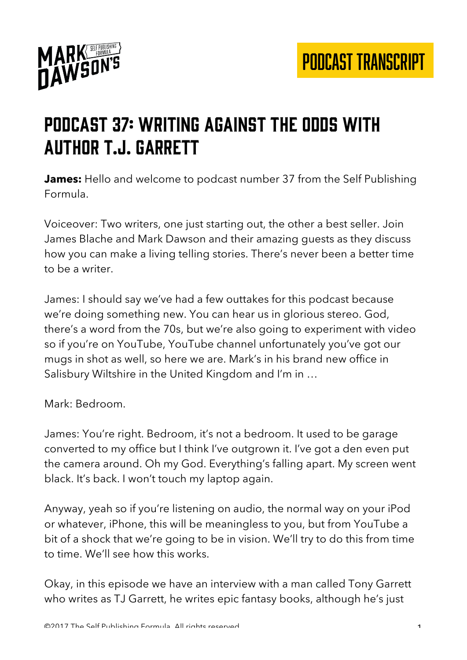

## Podcast 37: Writing Against the Odds with author T.J. Garrett

**James:** Hello and welcome to podcast number 37 from the Self Publishing Formula.

Voiceover: Two writers, one just starting out, the other a best seller. Join James Blache and Mark Dawson and their amazing guests as they discuss how you can make a living telling stories. There's never been a better time to be a writer.

James: I should say we've had a few outtakes for this podcast because we're doing something new. You can hear us in glorious stereo. God, there's a word from the 70s, but we're also going to experiment with video so if you're on YouTube, YouTube channel unfortunately you've got our mugs in shot as well, so here we are. Mark's in his brand new office in Salisbury Wiltshire in the United Kingdom and I'm in …

Mark: Bedroom.

James: You're right. Bedroom, it's not a bedroom. It used to be garage converted to my office but I think I've outgrown it. I've got a den even put the camera around. Oh my God. Everything's falling apart. My screen went black. It's back. I won't touch my laptop again.

Anyway, yeah so if you're listening on audio, the normal way on your iPod or whatever, iPhone, this will be meaningless to you, but from YouTube a bit of a shock that we're going to be in vision. We'll try to do this from time to time. We'll see how this works.

Okay, in this episode we have an interview with a man called Tony Garrett who writes as TJ Garrett, he writes epic fantasy books, although he's just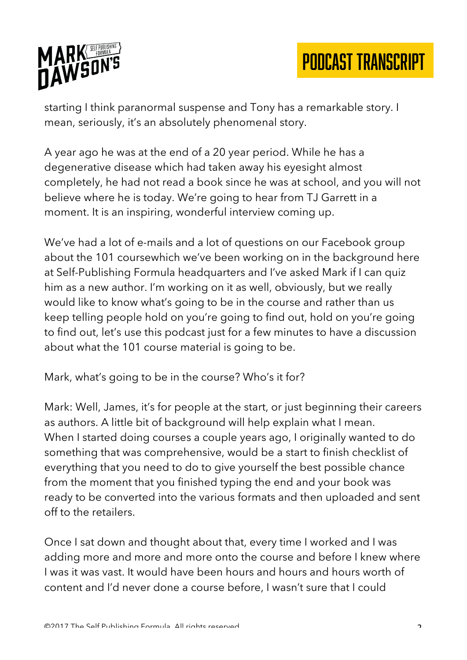

starting I think paranormal suspense and Tony has a remarkable story. I mean, seriously, it's an absolutely phenomenal story.

A year ago he was at the end of a 20 year period. While he has a degenerative disease which had taken away his eyesight almost completely, he had not read a book since he was at school, and you will not believe where he is today. We're going to hear from TJ Garrett in a moment. It is an inspiring, wonderful interview coming up.

We've had a lot of e-mails and a lot of questions on our Facebook group about the 101 coursewhich we've been working on in the background here at Self-Publishing Formula headquarters and I've asked Mark if I can quiz him as a new author. I'm working on it as well, obviously, but we really would like to know what's going to be in the course and rather than us keep telling people hold on you're going to find out, hold on you're going to find out, let's use this podcast just for a few minutes to have a discussion about what the 101 course material is going to be.

Mark, what's going to be in the course? Who's it for?

Mark: Well, James, it's for people at the start, or just beginning their careers as authors. A little bit of background will help explain what I mean. When I started doing courses a couple years ago, I originally wanted to do something that was comprehensive, would be a start to finish checklist of everything that you need to do to give yourself the best possible chance from the moment that you finished typing the end and your book was ready to be converted into the various formats and then uploaded and sent off to the retailers.

Once I sat down and thought about that, every time I worked and I was adding more and more and more onto the course and before I knew where I was it was vast. It would have been hours and hours and hours worth of content and I'd never done a course before, I wasn't sure that I could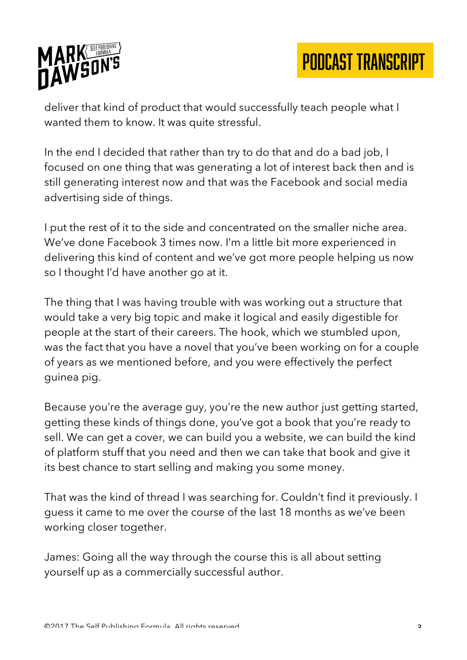

deliver that kind of product that would successfully teach people what I wanted them to know. It was quite stressful.

In the end I decided that rather than try to do that and do a bad job, I focused on one thing that was generating a lot of interest back then and is still generating interest now and that was the Facebook and social media advertising side of things.

I put the rest of it to the side and concentrated on the smaller niche area. We've done Facebook 3 times now. I'm a little bit more experienced in delivering this kind of content and we've got more people helping us now so I thought I'd have another go at it.

The thing that I was having trouble with was working out a structure that would take a very big topic and make it logical and easily digestible for people at the start of their careers. The hook, which we stumbled upon, was the fact that you have a novel that you've been working on for a couple of years as we mentioned before, and you were effectively the perfect guinea pig.

Because you're the average guy, you're the new author just getting started, getting these kinds of things done, you've got a book that you're ready to sell. We can get a cover, we can build you a website, we can build the kind of platform stuff that you need and then we can take that book and give it its best chance to start selling and making you some money.

That was the kind of thread I was searching for. Couldn't find it previously. I guess it came to me over the course of the last 18 months as we've been working closer together.

James: Going all the way through the course this is all about setting yourself up as a commercially successful author.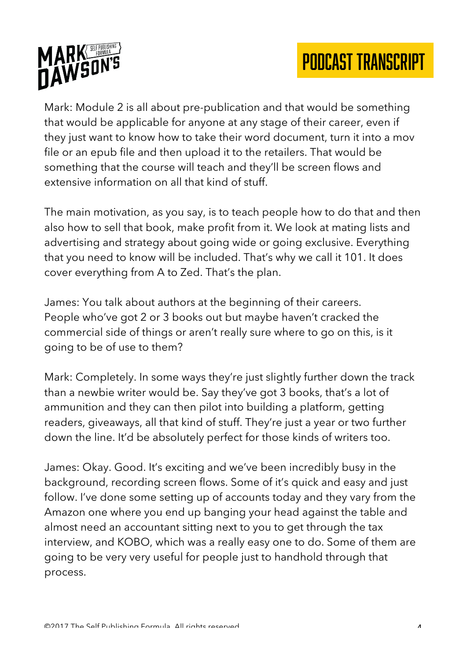



Mark: Module 2 is all about pre-publication and that would be something that would be applicable for anyone at any stage of their career, even if they just want to know how to take their word document, turn it into a mov file or an epub file and then upload it to the retailers. That would be something that the course will teach and they'll be screen flows and extensive information on all that kind of stuff.

The main motivation, as you say, is to teach people how to do that and then also how to sell that book, make profit from it. We look at mating lists and advertising and strategy about going wide or going exclusive. Everything that you need to know will be included. That's why we call it 101. It does cover everything from A to Zed. That's the plan.

James: You talk about authors at the beginning of their careers. People who've got 2 or 3 books out but maybe haven't cracked the commercial side of things or aren't really sure where to go on this, is it going to be of use to them?

Mark: Completely. In some ways they're just slightly further down the track than a newbie writer would be. Say they've got 3 books, that's a lot of ammunition and they can then pilot into building a platform, getting readers, giveaways, all that kind of stuff. They're just a year or two further down the line. It'd be absolutely perfect for those kinds of writers too.

James: Okay. Good. It's exciting and we've been incredibly busy in the background, recording screen flows. Some of it's quick and easy and just follow. I've done some setting up of accounts today and they vary from the Amazon one where you end up banging your head against the table and almost need an accountant sitting next to you to get through the tax interview, and KOBO, which was a really easy one to do. Some of them are going to be very very useful for people just to handhold through that process.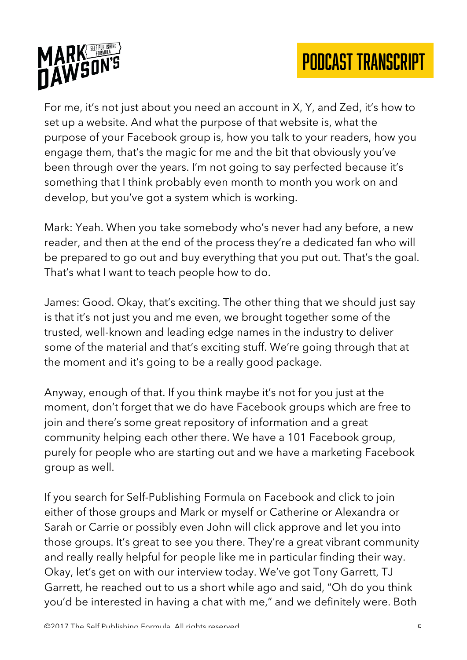



For me, it's not just about you need an account in X, Y, and Zed, it's how to set up a website. And what the purpose of that website is, what the purpose of your Facebook group is, how you talk to your readers, how you engage them, that's the magic for me and the bit that obviously you've been through over the years. I'm not going to say perfected because it's something that I think probably even month to month you work on and develop, but you've got a system which is working.

Mark: Yeah. When you take somebody who's never had any before, a new reader, and then at the end of the process they're a dedicated fan who will be prepared to go out and buy everything that you put out. That's the goal. That's what I want to teach people how to do.

James: Good. Okay, that's exciting. The other thing that we should just say is that it's not just you and me even, we brought together some of the trusted, well-known and leading edge names in the industry to deliver some of the material and that's exciting stuff. We're going through that at the moment and it's going to be a really good package.

Anyway, enough of that. If you think maybe it's not for you just at the moment, don't forget that we do have Facebook groups which are free to join and there's some great repository of information and a great community helping each other there. We have a 101 Facebook group, purely for people who are starting out and we have a marketing Facebook group as well.

If you search for Self-Publishing Formula on Facebook and click to join either of those groups and Mark or myself or Catherine or Alexandra or Sarah or Carrie or possibly even John will click approve and let you into those groups. It's great to see you there. They're a great vibrant community and really really helpful for people like me in particular finding their way. Okay, let's get on with our interview today. We've got Tony Garrett, TJ Garrett, he reached out to us a short while ago and said, "Oh do you think you'd be interested in having a chat with me," and we definitely were. Both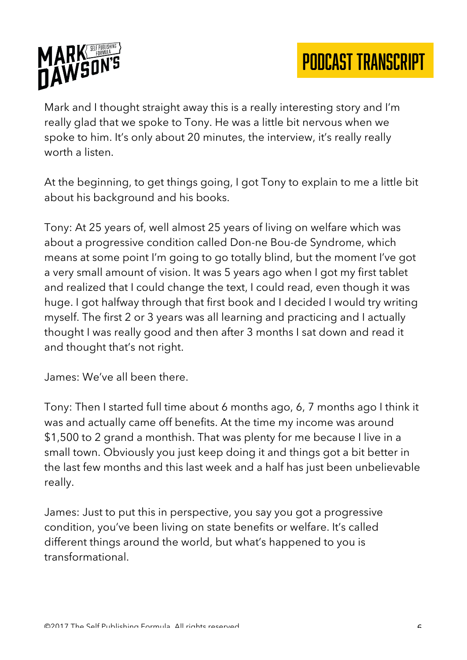

Mark and I thought straight away this is a really interesting story and I'm really glad that we spoke to Tony. He was a little bit nervous when we spoke to him. It's only about 20 minutes, the interview, it's really really worth a listen.

At the beginning, to get things going, I got Tony to explain to me a little bit about his background and his books.

Tony: At 25 years of, well almost 25 years of living on welfare which was about a progressive condition called Don-ne Bou-de Syndrome, which means at some point I'm going to go totally blind, but the moment I've got a very small amount of vision. It was 5 years ago when I got my first tablet and realized that I could change the text, I could read, even though it was huge. I got halfway through that first book and I decided I would try writing myself. The first 2 or 3 years was all learning and practicing and I actually thought I was really good and then after 3 months I sat down and read it and thought that's not right.

James: We've all been there.

Tony: Then I started full time about 6 months ago, 6, 7 months ago I think it was and actually came off benefits. At the time my income was around \$1,500 to 2 grand a monthish. That was plenty for me because I live in a small town. Obviously you just keep doing it and things got a bit better in the last few months and this last week and a half has just been unbelievable really.

James: Just to put this in perspective, you say you got a progressive condition, you've been living on state benefits or welfare. It's called different things around the world, but what's happened to you is transformational.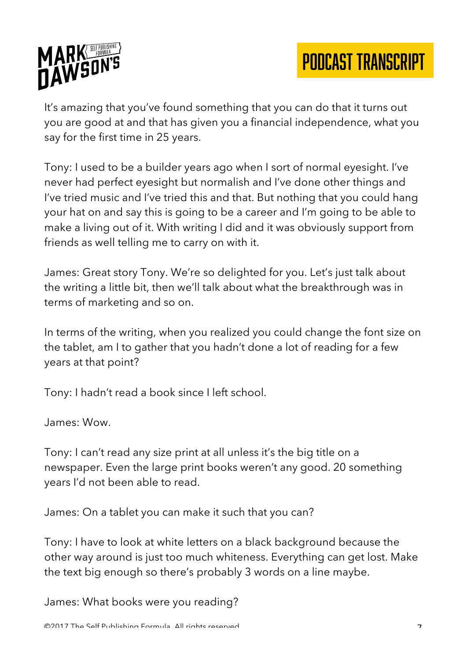

It's amazing that you've found something that you can do that it turns out you are good at and that has given you a financial independence, what you say for the first time in 25 years.

Tony: I used to be a builder years ago when I sort of normal eyesight. I've never had perfect eyesight but normalish and I've done other things and I've tried music and I've tried this and that. But nothing that you could hang your hat on and say this is going to be a career and I'm going to be able to make a living out of it. With writing I did and it was obviously support from friends as well telling me to carry on with it.

James: Great story Tony. We're so delighted for you. Let's just talk about the writing a little bit, then we'll talk about what the breakthrough was in terms of marketing and so on.

In terms of the writing, when you realized you could change the font size on the tablet, am I to gather that you hadn't done a lot of reading for a few years at that point?

Tony: I hadn't read a book since I left school.

James: Wow.

Tony: I can't read any size print at all unless it's the big title on a newspaper. Even the large print books weren't any good. 20 something years I'd not been able to read.

James: On a tablet you can make it such that you can?

Tony: I have to look at white letters on a black background because the other way around is just too much whiteness. Everything can get lost. Make the text big enough so there's probably 3 words on a line maybe.

James: What books were you reading?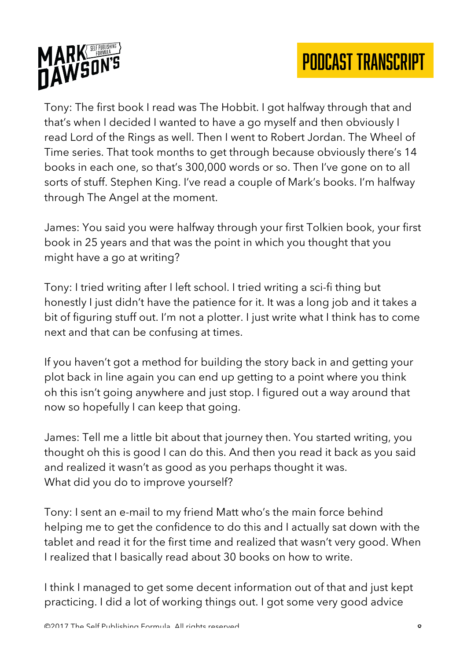

Tony: The first book I read was The Hobbit. I got halfway through that and that's when I decided I wanted to have a go myself and then obviously I read Lord of the Rings as well. Then I went to Robert Jordan. The Wheel of Time series. That took months to get through because obviously there's 14 books in each one, so that's 300,000 words or so. Then I've gone on to all sorts of stuff. Stephen King. I've read a couple of Mark's books. I'm halfway through The Angel at the moment.

James: You said you were halfway through your first Tolkien book, your first book in 25 years and that was the point in which you thought that you might have a go at writing?

Tony: I tried writing after I left school. I tried writing a sci-fi thing but honestly I just didn't have the patience for it. It was a long job and it takes a bit of figuring stuff out. I'm not a plotter. I just write what I think has to come next and that can be confusing at times.

If you haven't got a method for building the story back in and getting your plot back in line again you can end up getting to a point where you think oh this isn't going anywhere and just stop. I figured out a way around that now so hopefully I can keep that going.

James: Tell me a little bit about that journey then. You started writing, you thought oh this is good I can do this. And then you read it back as you said and realized it wasn't as good as you perhaps thought it was. What did you do to improve yourself?

Tony: I sent an e-mail to my friend Matt who's the main force behind helping me to get the confidence to do this and I actually sat down with the tablet and read it for the first time and realized that wasn't very good. When I realized that I basically read about 30 books on how to write.

I think I managed to get some decent information out of that and just kept practicing. I did a lot of working things out. I got some very good advice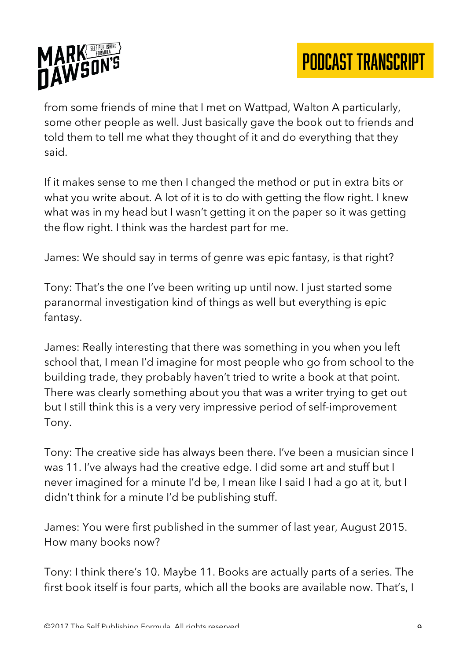

from some friends of mine that I met on Wattpad, Walton A particularly, some other people as well. Just basically gave the book out to friends and told them to tell me what they thought of it and do everything that they said.

If it makes sense to me then I changed the method or put in extra bits or what you write about. A lot of it is to do with getting the flow right. I knew what was in my head but I wasn't getting it on the paper so it was getting the flow right. I think was the hardest part for me.

James: We should say in terms of genre was epic fantasy, is that right?

Tony: That's the one I've been writing up until now. I just started some paranormal investigation kind of things as well but everything is epic fantasy.

James: Really interesting that there was something in you when you left school that, I mean I'd imagine for most people who go from school to the building trade, they probably haven't tried to write a book at that point. There was clearly something about you that was a writer trying to get out but I still think this is a very very impressive period of self-improvement Tony.

Tony: The creative side has always been there. I've been a musician since I was 11. I've always had the creative edge. I did some art and stuff but I never imagined for a minute I'd be, I mean like I said I had a go at it, but I didn't think for a minute I'd be publishing stuff.

James: You were first published in the summer of last year, August 2015. How many books now?

Tony: I think there's 10. Maybe 11. Books are actually parts of a series. The first book itself is four parts, which all the books are available now. That's, I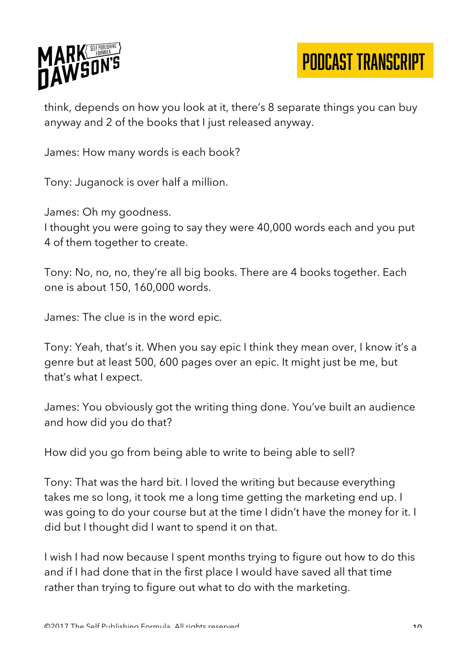

think, depends on how you look at it, there's 8 separate things you can buy anyway and 2 of the books that I just released anyway.

James: How many words is each book?

Tony: Juganock is over half a million.

James: Oh my goodness.

I thought you were going to say they were 40,000 words each and you put 4 of them together to create.

Tony: No, no, no, they're all big books. There are 4 books together. Each one is about 150, 160,000 words.

James: The clue is in the word epic.

Tony: Yeah, that's it. When you say epic I think they mean over, I know it's a genre but at least 500, 600 pages over an epic. It might just be me, but that's what I expect.

James: You obviously got the writing thing done. You've built an audience and how did you do that?

How did you go from being able to write to being able to sell?

Tony: That was the hard bit. I loved the writing but because everything takes me so long, it took me a long time getting the marketing end up. I was going to do your course but at the time I didn't have the money for it. I did but I thought did I want to spend it on that.

I wish I had now because I spent months trying to figure out how to do this and if I had done that in the first place I would have saved all that time rather than trying to figure out what to do with the marketing.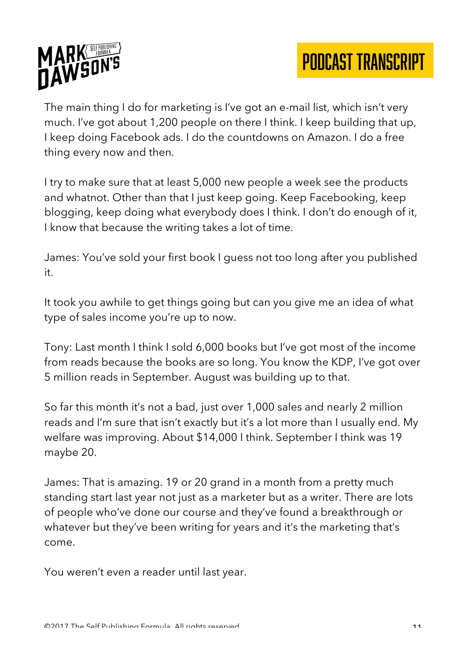

The main thing I do for marketing is I've got an e-mail list, which isn't very much. I've got about 1,200 people on there I think. I keep building that up, I keep doing Facebook ads. I do the countdowns on Amazon. I do a free thing every now and then.

I try to make sure that at least 5,000 new people a week see the products and whatnot. Other than that I just keep going. Keep Facebooking, keep blogging, keep doing what everybody does I think. I don't do enough of it, I know that because the writing takes a lot of time.

James: You've sold your first book I guess not too long after you published it.

It took you awhile to get things going but can you give me an idea of what type of sales income you're up to now.

Tony: Last month I think I sold 6,000 books but I've got most of the income from reads because the books are so long. You know the KDP, I've got over 5 million reads in September. August was building up to that.

So far this month it's not a bad, just over 1,000 sales and nearly 2 million reads and I'm sure that isn't exactly but it's a lot more than I usually end. My welfare was improving. About \$14,000 I think. September I think was 19 maybe 20.

James: That is amazing. 19 or 20 grand in a month from a pretty much standing start last year not just as a marketer but as a writer. There are lots of people who've done our course and they've found a breakthrough or whatever but they've been writing for years and it's the marketing that's come.

You weren't even a reader until last year.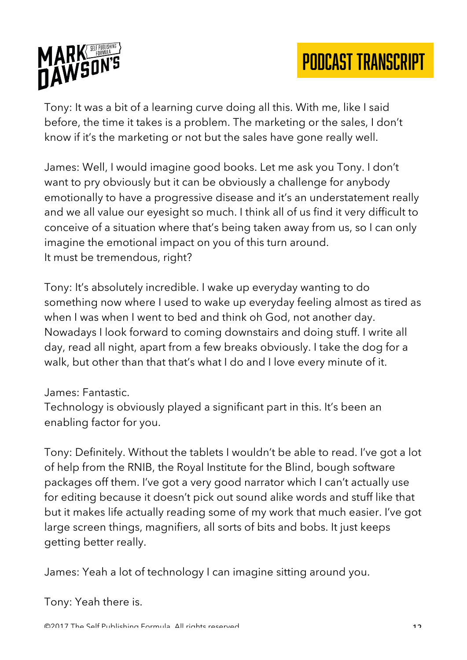

Tony: It was a bit of a learning curve doing all this. With me, like I said before, the time it takes is a problem. The marketing or the sales, I don't know if it's the marketing or not but the sales have gone really well.

James: Well, I would imagine good books. Let me ask you Tony. I don't want to pry obviously but it can be obviously a challenge for anybody emotionally to have a progressive disease and it's an understatement really and we all value our eyesight so much. I think all of us find it very difficult to conceive of a situation where that's being taken away from us, so I can only imagine the emotional impact on you of this turn around. It must be tremendous, right?

Tony: It's absolutely incredible. I wake up everyday wanting to do something now where I used to wake up everyday feeling almost as tired as when I was when I went to bed and think oh God, not another day. Nowadays I look forward to coming downstairs and doing stuff. I write all day, read all night, apart from a few breaks obviously. I take the dog for a walk, but other than that that's what I do and I love every minute of it.

James: Fantastic.

Technology is obviously played a significant part in this. It's been an enabling factor for you.

Tony: Definitely. Without the tablets I wouldn't be able to read. I've got a lot of help from the RNIB, the Royal Institute for the Blind, bough software packages off them. I've got a very good narrator which I can't actually use for editing because it doesn't pick out sound alike words and stuff like that but it makes life actually reading some of my work that much easier. I've got large screen things, magnifiers, all sorts of bits and bobs. It just keeps getting better really.

James: Yeah a lot of technology I can imagine sitting around you.

Tony: Yeah there is.

©2017 The Self Publishing Formula. All rights reserved. 12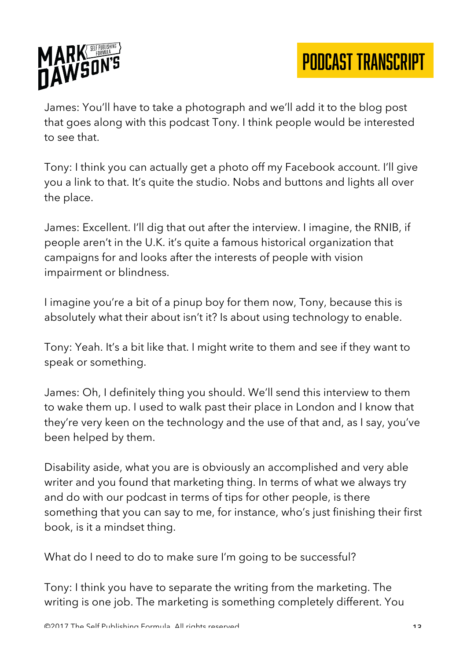

James: You'll have to take a photograph and we'll add it to the blog post that goes along with this podcast Tony. I think people would be interested to see that.

Tony: I think you can actually get a photo off my Facebook account. I'll give you a link to that. It's quite the studio. Nobs and buttons and lights all over the place.

James: Excellent. I'll dig that out after the interview. I imagine, the RNIB, if people aren't in the U.K. it's quite a famous historical organization that campaigns for and looks after the interests of people with vision impairment or blindness.

I imagine you're a bit of a pinup boy for them now, Tony, because this is absolutely what their about isn't it? Is about using technology to enable.

Tony: Yeah. It's a bit like that. I might write to them and see if they want to speak or something.

James: Oh, I definitely thing you should. We'll send this interview to them to wake them up. I used to walk past their place in London and I know that they're very keen on the technology and the use of that and, as I say, you've been helped by them.

Disability aside, what you are is obviously an accomplished and very able writer and you found that marketing thing. In terms of what we always try and do with our podcast in terms of tips for other people, is there something that you can say to me, for instance, who's just finishing their first book, is it a mindset thing.

What do I need to do to make sure I'm going to be successful?

Tony: I think you have to separate the writing from the marketing. The writing is one job. The marketing is something completely different. You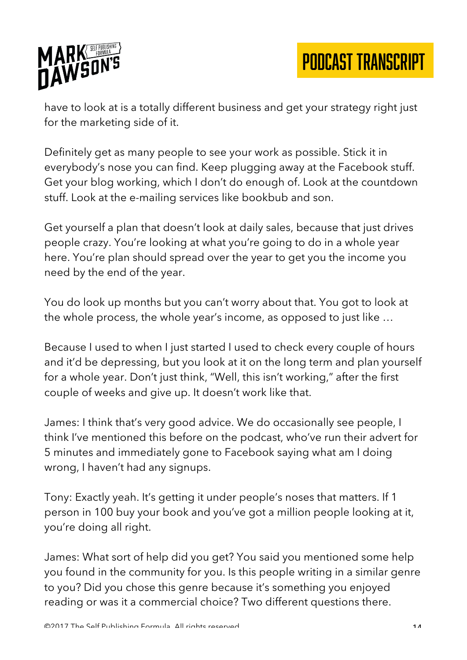

have to look at is a totally different business and get your strategy right just for the marketing side of it.

Definitely get as many people to see your work as possible. Stick it in everybody's nose you can find. Keep plugging away at the Facebook stuff. Get your blog working, which I don't do enough of. Look at the countdown stuff. Look at the e-mailing services like bookbub and son.

Get yourself a plan that doesn't look at daily sales, because that just drives people crazy. You're looking at what you're going to do in a whole year here. You're plan should spread over the year to get you the income you need by the end of the year.

You do look up months but you can't worry about that. You got to look at the whole process, the whole year's income, as opposed to just like …

Because I used to when I just started I used to check every couple of hours and it'd be depressing, but you look at it on the long term and plan yourself for a whole year. Don't just think, "Well, this isn't working," after the first couple of weeks and give up. It doesn't work like that.

James: I think that's very good advice. We do occasionally see people, I think I've mentioned this before on the podcast, who've run their advert for 5 minutes and immediately gone to Facebook saying what am I doing wrong, I haven't had any signups.

Tony: Exactly yeah. It's getting it under people's noses that matters. If 1 person in 100 buy your book and you've got a million people looking at it, you're doing all right.

James: What sort of help did you get? You said you mentioned some help you found in the community for you. Is this people writing in a similar genre to you? Did you chose this genre because it's something you enjoyed reading or was it a commercial choice? Two different questions there.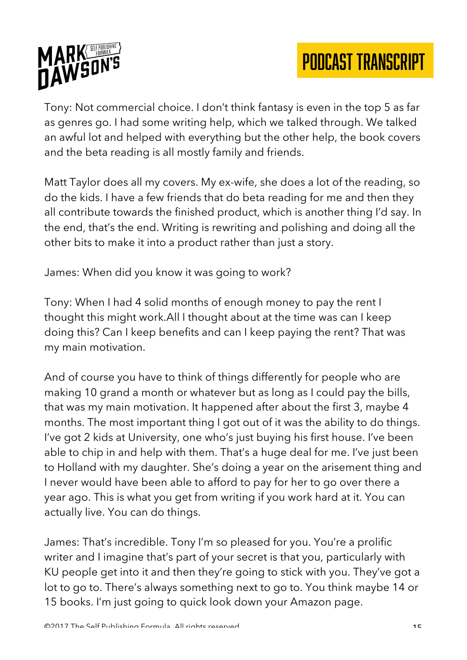



Tony: Not commercial choice. I don't think fantasy is even in the top 5 as far as genres go. I had some writing help, which we talked through. We talked an awful lot and helped with everything but the other help, the book covers and the beta reading is all mostly family and friends.

Matt Taylor does all my covers. My ex-wife, she does a lot of the reading, so do the kids. I have a few friends that do beta reading for me and then they all contribute towards the finished product, which is another thing I'd say. In the end, that's the end. Writing is rewriting and polishing and doing all the other bits to make it into a product rather than just a story.

James: When did you know it was going to work?

Tony: When I had 4 solid months of enough money to pay the rent I thought this might work.All I thought about at the time was can I keep doing this? Can I keep benefits and can I keep paying the rent? That was my main motivation.

And of course you have to think of things differently for people who are making 10 grand a month or whatever but as long as I could pay the bills, that was my main motivation. It happened after about the first 3, maybe 4 months. The most important thing I got out of it was the ability to do things. I've got 2 kids at University, one who's just buying his first house. I've been able to chip in and help with them. That's a huge deal for me. I've just been to Holland with my daughter. She's doing a year on the arisement thing and I never would have been able to afford to pay for her to go over there a year ago. This is what you get from writing if you work hard at it. You can actually live. You can do things.

James: That's incredible. Tony I'm so pleased for you. You're a prolific writer and I imagine that's part of your secret is that you, particularly with KU people get into it and then they're going to stick with you. They've got a lot to go to. There's always something next to go to. You think maybe 14 or 15 books. I'm just going to quick look down your Amazon page.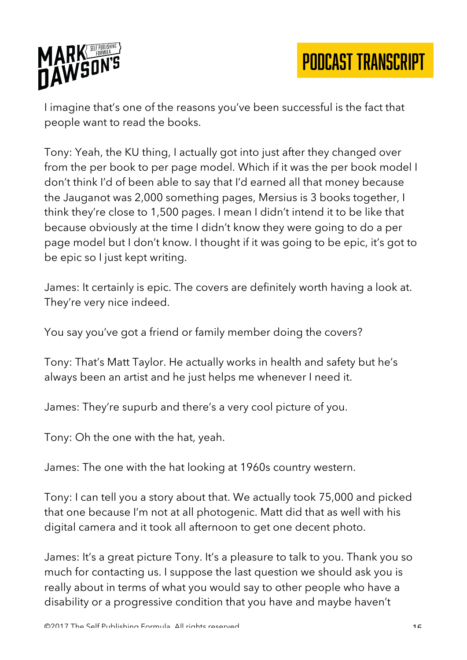

I imagine that's one of the reasons you've been successful is the fact that people want to read the books.

Tony: Yeah, the KU thing, I actually got into just after they changed over from the per book to per page model. Which if it was the per book model I don't think I'd of been able to say that I'd earned all that money because the Jauganot was 2,000 something pages, Mersius is 3 books together, I think they're close to 1,500 pages. I mean I didn't intend it to be like that because obviously at the time I didn't know they were going to do a per page model but I don't know. I thought if it was going to be epic, it's got to be epic so I just kept writing.

James: It certainly is epic. The covers are definitely worth having a look at. They're very nice indeed.

You say you've got a friend or family member doing the covers?

Tony: That's Matt Taylor. He actually works in health and safety but he's always been an artist and he just helps me whenever I need it.

James: They're supurb and there's a very cool picture of you.

Tony: Oh the one with the hat, yeah.

James: The one with the hat looking at 1960s country western.

Tony: I can tell you a story about that. We actually took 75,000 and picked that one because I'm not at all photogenic. Matt did that as well with his digital camera and it took all afternoon to get one decent photo.

James: It's a great picture Tony. It's a pleasure to talk to you. Thank you so much for contacting us. I suppose the last question we should ask you is really about in terms of what you would say to other people who have a disability or a progressive condition that you have and maybe haven't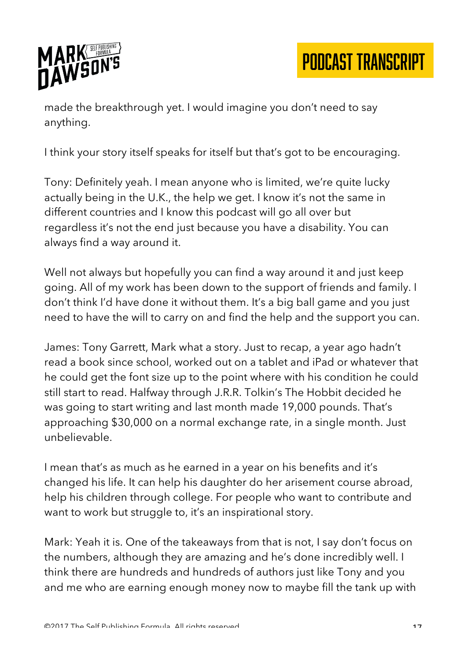

made the breakthrough yet. I would imagine you don't need to say anything.

I think your story itself speaks for itself but that's got to be encouraging.

Tony: Definitely yeah. I mean anyone who is limited, we're quite lucky actually being in the U.K., the help we get. I know it's not the same in different countries and I know this podcast will go all over but regardless it's not the end just because you have a disability. You can always find a way around it.

Well not always but hopefully you can find a way around it and just keep going. All of my work has been down to the support of friends and family. I don't think I'd have done it without them. It's a big ball game and you just need to have the will to carry on and find the help and the support you can.

James: Tony Garrett, Mark what a story. Just to recap, a year ago hadn't read a book since school, worked out on a tablet and iPad or whatever that he could get the font size up to the point where with his condition he could still start to read. Halfway through J.R.R. Tolkin's The Hobbit decided he was going to start writing and last month made 19,000 pounds. That's approaching \$30,000 on a normal exchange rate, in a single month. Just unbelievable.

I mean that's as much as he earned in a year on his benefits and it's changed his life. It can help his daughter do her arisement course abroad, help his children through college. For people who want to contribute and want to work but struggle to, it's an inspirational story.

Mark: Yeah it is. One of the takeaways from that is not, I say don't focus on the numbers, although they are amazing and he's done incredibly well. I think there are hundreds and hundreds of authors just like Tony and you and me who are earning enough money now to maybe fill the tank up with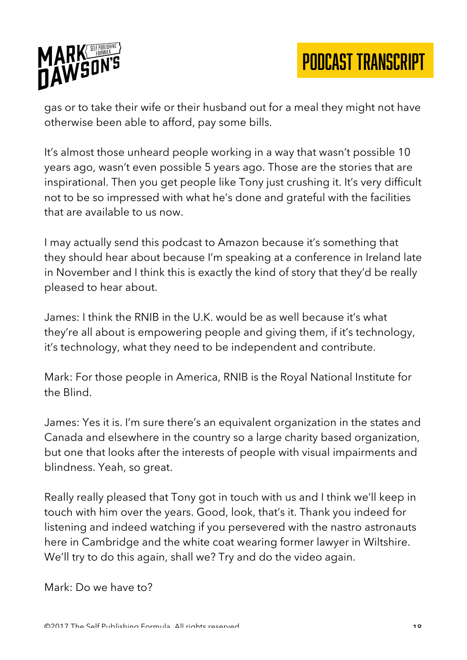

gas or to take their wife or their husband out for a meal they might not have otherwise been able to afford, pay some bills.

It's almost those unheard people working in a way that wasn't possible 10 years ago, wasn't even possible 5 years ago. Those are the stories that are inspirational. Then you get people like Tony just crushing it. It's very difficult not to be so impressed with what he's done and grateful with the facilities that are available to us now.

I may actually send this podcast to Amazon because it's something that they should hear about because I'm speaking at a conference in Ireland late in November and I think this is exactly the kind of story that they'd be really pleased to hear about.

James: I think the RNIB in the U.K. would be as well because it's what they're all about is empowering people and giving them, if it's technology, it's technology, what they need to be independent and contribute.

Mark: For those people in America, RNIB is the Royal National Institute for the Blind.

James: Yes it is. I'm sure there's an equivalent organization in the states and Canada and elsewhere in the country so a large charity based organization, but one that looks after the interests of people with visual impairments and blindness. Yeah, so great.

Really really pleased that Tony got in touch with us and I think we'll keep in touch with him over the years. Good, look, that's it. Thank you indeed for listening and indeed watching if you persevered with the nastro astronauts here in Cambridge and the white coat wearing former lawyer in Wiltshire. We'll try to do this again, shall we? Try and do the video again.

Mark: Do we have to?